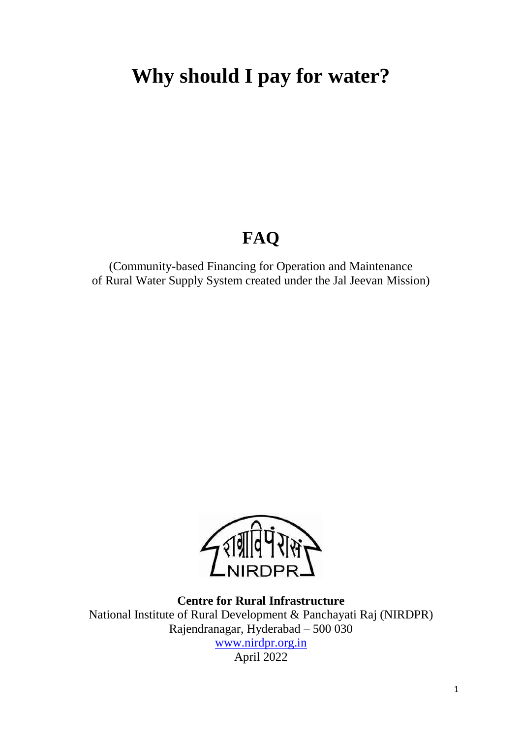# **Why should I pay for water?**

## **FAQ**

(Community-based Financing for Operation and Maintenance of Rural Water Supply System created under the Jal Jeevan Mission)



**Centre for Rural Infrastructure** National Institute of Rural Development & Panchayati Raj (NIRDPR) Rajendranagar, Hyderabad – 500 030 [www.nirdpr.org.in](http://www.nirdpr.org.in/) April 2022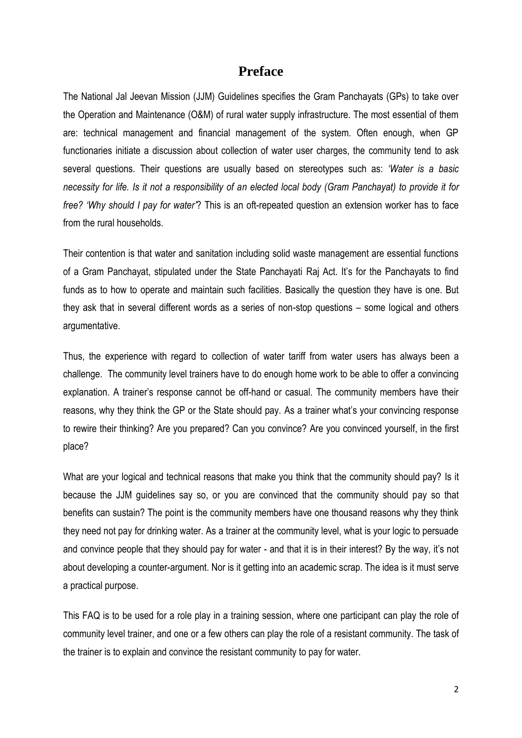### **Preface**

The National Jal Jeevan Mission (JJM) Guidelines specifies the Gram Panchayats (GPs) to take over the Operation and Maintenance (O&M) of rural water supply infrastructure. The most essential of them are: technical management and financial management of the system. Often enough, when GP functionaries initiate a discussion about collection of water user charges, the community tend to ask several questions. Their questions are usually based on stereotypes such as: *'Water is a basic necessity for life. Is it not a responsibility of an elected local body (Gram Panchayat) to provide it for free? 'Why should I pay for water'*? This is an oft-repeated question an extension worker has to face from the rural households.

Their contention is that water and sanitation including solid waste management are essential functions of a Gram Panchayat, stipulated under the State Panchayati Raj Act. It's for the Panchayats to find funds as to how to operate and maintain such facilities. Basically the question they have is one. But they ask that in several different words as a series of non-stop questions – some logical and others argumentative.

Thus, the experience with regard to collection of water tariff from water users has always been a challenge. The community level trainers have to do enough home work to be able to offer a convincing explanation. A trainer's response cannot be off-hand or casual. The community members have their reasons, why they think the GP or the State should pay. As a trainer what's your convincing response to rewire their thinking? Are you prepared? Can you convince? Are you convinced yourself, in the first place?

What are your logical and technical reasons that make you think that the community should pay? Is it because the JJM guidelines say so, or you are convinced that the community should pay so that benefits can sustain? The point is the community members have one thousand reasons why they think they need not pay for drinking water. As a trainer at the community level, what is your logic to persuade and convince people that they should pay for water - and that it is in their interest? By the way, it's not about developing a counter-argument. Nor is it getting into an academic scrap. The idea is it must serve a practical purpose.

This FAQ is to be used for a role play in a training session, where one participant can play the role of community level trainer, and one or a few others can play the role of a resistant community. The task of the trainer is to explain and convince the resistant community to pay for water.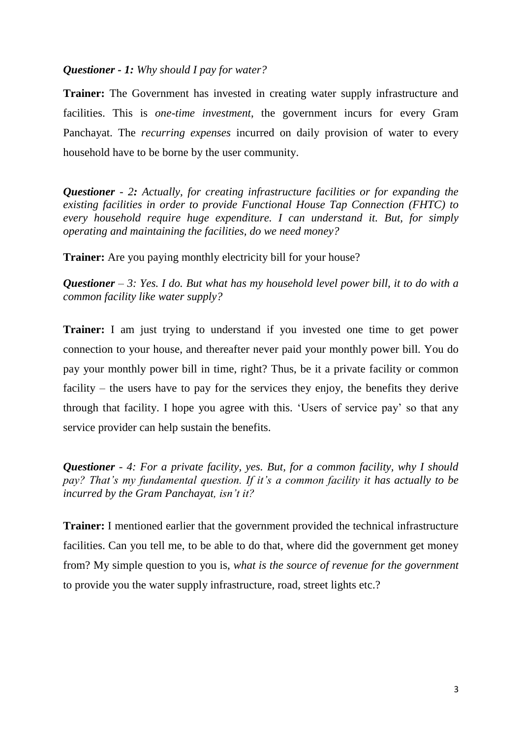#### *Questioner - 1: Why should I pay for water?*

**Trainer:** The Government has invested in creating water supply infrastructure and facilities. This is *one-time investment*, the government incurs for every Gram Panchayat. The *recurring expenses* incurred on daily provision of water to every household have to be borne by the user community.

*Questioner - 2: Actually, for creating infrastructure facilities or for expanding the existing facilities in order to provide Functional House Tap Connection (FHTC) to every household require huge expenditure. I can understand it. But, for simply operating and maintaining the facilities, do we need money?* 

**Trainer:** Are you paying monthly electricity bill for your house?

*Questioner – 3: Yes. I do. But what has my household level power bill, it to do with a common facility like water supply?* 

**Trainer:** I am just trying to understand if you invested one time to get power connection to your house, and thereafter never paid your monthly power bill. You do pay your monthly power bill in time, right? Thus, be it a private facility or common facility – the users have to pay for the services they enjoy, the benefits they derive through that facility. I hope you agree with this. 'Users of service pay' so that any service provider can help sustain the benefits.

*Questioner - 4: For a private facility, yes. But, for a common facility, why I should pay? That's my fundamental question. If it's a common facility it has actually to be incurred by the Gram Panchayat, isn't it?* 

**Trainer:** I mentioned earlier that the government provided the technical infrastructure facilities. Can you tell me, to be able to do that, where did the government get money from? My simple question to you is, *what is the source of revenue for the government* to provide you the water supply infrastructure, road, street lights etc.?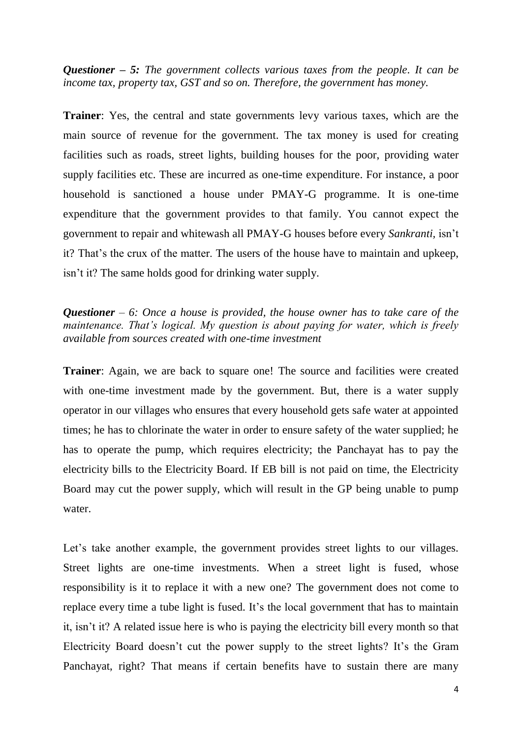*Questioner – 5: The government collects various taxes from the people. It can be income tax, property tax, GST and so on. Therefore, the government has money.* 

**Trainer**: Yes, the central and state governments levy various taxes, which are the main source of revenue for the government. The tax money is used for creating facilities such as roads, street lights, building houses for the poor, providing water supply facilities etc. These are incurred as one-time expenditure. For instance, a poor household is sanctioned a house under PMAY-G programme. It is one-time expenditure that the government provides to that family. You cannot expect the government to repair and whitewash all PMAY-G houses before every *Sankranti,* isn't it? That's the crux of the matter. The users of the house have to maintain and upkeep, isn't it? The same holds good for drinking water supply.

#### *Questioner – 6: Once a house is provided, the house owner has to take care of the maintenance. That's logical. My question is about paying for water, which is freely available from sources created with one-time investment*

**Trainer:** Again, we are back to square one! The source and facilities were created with one-time investment made by the government. But, there is a water supply operator in our villages who ensures that every household gets safe water at appointed times; he has to chlorinate the water in order to ensure safety of the water supplied; he has to operate the pump, which requires electricity; the Panchayat has to pay the electricity bills to the Electricity Board. If EB bill is not paid on time, the Electricity Board may cut the power supply, which will result in the GP being unable to pump water.

Let's take another example, the government provides street lights to our villages. Street lights are one-time investments. When a street light is fused, whose responsibility is it to replace it with a new one? The government does not come to replace every time a tube light is fused. It's the local government that has to maintain it, isn't it? A related issue here is who is paying the electricity bill every month so that Electricity Board doesn't cut the power supply to the street lights? It's the Gram Panchayat, right? That means if certain benefits have to sustain there are many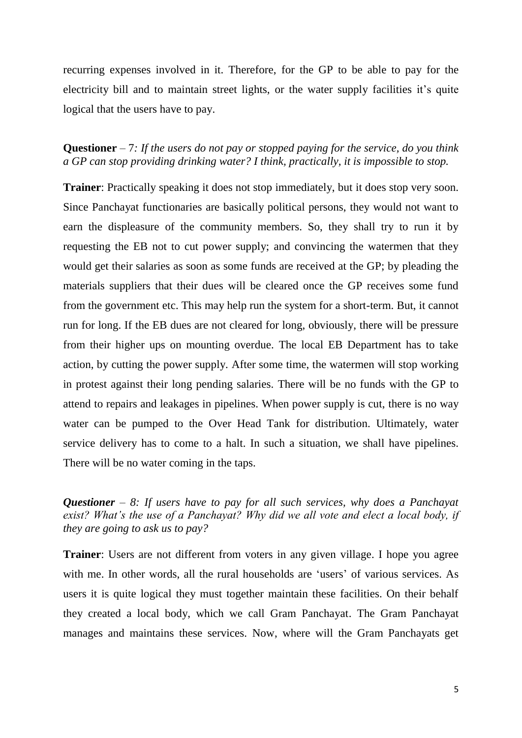recurring expenses involved in it. Therefore, for the GP to be able to pay for the electricity bill and to maintain street lights, or the water supply facilities it's quite logical that the users have to pay.

**Questioner** – 7*: If the users do not pay or stopped paying for the service, do you think a GP can stop providing drinking water? I think, practically, it is impossible to stop.* 

**Trainer**: Practically speaking it does not stop immediately, but it does stop very soon. Since Panchayat functionaries are basically political persons, they would not want to earn the displeasure of the community members. So, they shall try to run it by requesting the EB not to cut power supply; and convincing the watermen that they would get their salaries as soon as some funds are received at the GP; by pleading the materials suppliers that their dues will be cleared once the GP receives some fund from the government etc. This may help run the system for a short-term. But, it cannot run for long. If the EB dues are not cleared for long, obviously, there will be pressure from their higher ups on mounting overdue. The local EB Department has to take action, by cutting the power supply. After some time, the watermen will stop working in protest against their long pending salaries. There will be no funds with the GP to attend to repairs and leakages in pipelines. When power supply is cut, there is no way water can be pumped to the Over Head Tank for distribution. Ultimately, water service delivery has to come to a halt. In such a situation, we shall have pipelines. There will be no water coming in the taps.

*Questioner – 8: If users have to pay for all such services, why does a Panchayat exist? What's the use of a Panchayat? Why did we all vote and elect a local body, if they are going to ask us to pay?* 

**Trainer**: Users are not different from voters in any given village. I hope you agree with me. In other words, all the rural households are 'users' of various services. As users it is quite logical they must together maintain these facilities. On their behalf they created a local body, which we call Gram Panchayat. The Gram Panchayat manages and maintains these services. Now, where will the Gram Panchayats get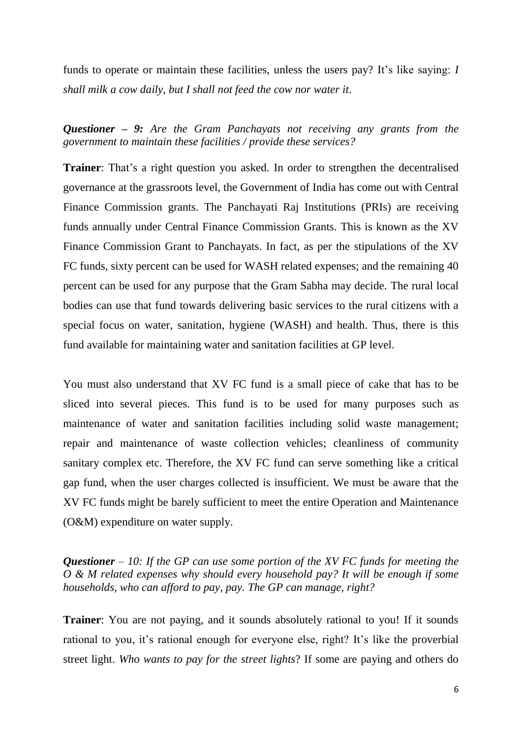funds to operate or maintain these facilities, unless the users pay? It's like saying: *I shall milk a cow daily, but I shall not feed the cow nor water it*.

*Questioner – 9: Are the Gram Panchayats not receiving any grants from the government to maintain these facilities / provide these services?* 

**Trainer**: That's a right question you asked. In order to strengthen the decentralised governance at the grassroots level, the Government of India has come out with Central Finance Commission grants. The Panchayati Raj Institutions (PRIs) are receiving funds annually under Central Finance Commission Grants. This is known as the XV Finance Commission Grant to Panchayats. In fact, as per the stipulations of the XV FC funds, sixty percent can be used for WASH related expenses; and the remaining 40 percent can be used for any purpose that the Gram Sabha may decide. The rural local bodies can use that fund towards delivering basic services to the rural citizens with a special focus on water, sanitation, hygiene (WASH) and health. Thus, there is this fund available for maintaining water and sanitation facilities at GP level.

You must also understand that XV FC fund is a small piece of cake that has to be sliced into several pieces. This fund is to be used for many purposes such as maintenance of water and sanitation facilities including solid waste management; repair and maintenance of waste collection vehicles; cleanliness of community sanitary complex etc. Therefore, the XV FC fund can serve something like a critical gap fund, when the user charges collected is insufficient. We must be aware that the XV FC funds might be barely sufficient to meet the entire Operation and Maintenance (O&M) expenditure on water supply.

*Questioner – 10: If the GP can use some portion of the XV FC funds for meeting the O & M related expenses why should every household pay? It will be enough if some households, who can afford to pay, pay. The GP can manage, right?* 

**Trainer**: You are not paying, and it sounds absolutely rational to you! If it sounds rational to you, it's rational enough for everyone else, right? It's like the proverbial street light. *Who wants to pay for the street lights*? If some are paying and others do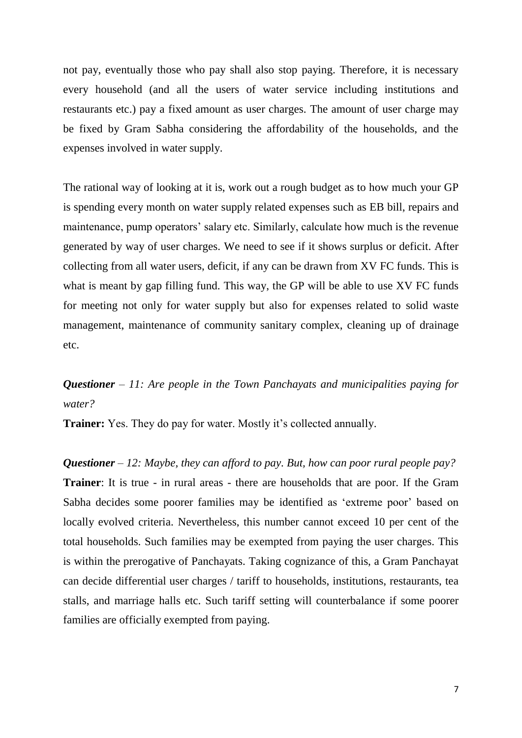not pay, eventually those who pay shall also stop paying. Therefore, it is necessary every household (and all the users of water service including institutions and restaurants etc.) pay a fixed amount as user charges. The amount of user charge may be fixed by Gram Sabha considering the affordability of the households, and the expenses involved in water supply.

The rational way of looking at it is, work out a rough budget as to how much your GP is spending every month on water supply related expenses such as EB bill, repairs and maintenance, pump operators' salary etc. Similarly, calculate how much is the revenue generated by way of user charges. We need to see if it shows surplus or deficit. After collecting from all water users, deficit, if any can be drawn from XV FC funds. This is what is meant by gap filling fund. This way, the GP will be able to use XV FC funds for meeting not only for water supply but also for expenses related to solid waste management, maintenance of community sanitary complex, cleaning up of drainage etc.

## *Questioner – 11: Are people in the Town Panchayats and municipalities paying for water?*

**Trainer:** Yes. They do pay for water. Mostly it's collected annually.

*Questioner – 12: Maybe, they can afford to pay. But, how can poor rural people pay?*  **Trainer**: It is true - in rural areas - there are households that are poor. If the Gram Sabha decides some poorer families may be identified as 'extreme poor' based on locally evolved criteria. Nevertheless, this number cannot exceed 10 per cent of the total households. Such families may be exempted from paying the user charges. This is within the prerogative of Panchayats. Taking cognizance of this, a Gram Panchayat can decide differential user charges / tariff to households, institutions, restaurants, tea stalls, and marriage halls etc. Such tariff setting will counterbalance if some poorer families are officially exempted from paying.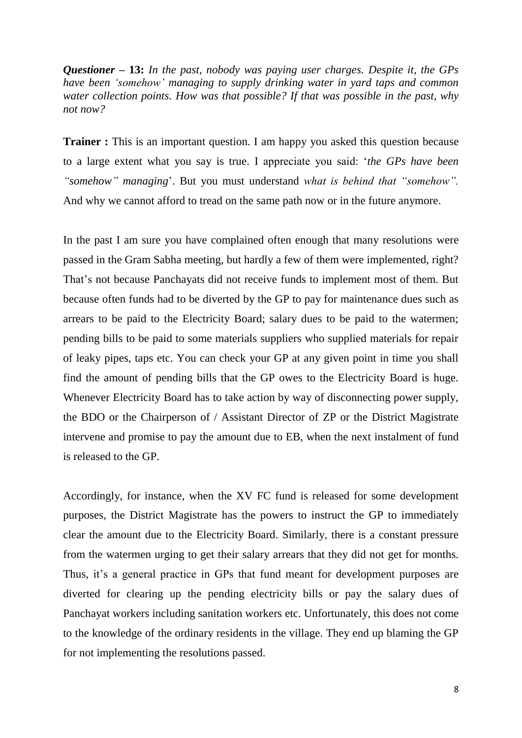*Questioner* **– 13:** *In the past, nobody was paying user charges. Despite it, the GPs have been 'somehow' managing to supply drinking water in yard taps and common water collection points. How was that possible? If that was possible in the past, why not now?* 

**Trainer :** This is an important question. I am happy you asked this question because to a large extent what you say is true. I appreciate you said: '*the GPs have been "somehow" managing*'. But you must understand *what is behind that "somehow".*  And why we cannot afford to tread on the same path now or in the future anymore.

In the past I am sure you have complained often enough that many resolutions were passed in the Gram Sabha meeting, but hardly a few of them were implemented, right? That's not because Panchayats did not receive funds to implement most of them. But because often funds had to be diverted by the GP to pay for maintenance dues such as arrears to be paid to the Electricity Board; salary dues to be paid to the watermen; pending bills to be paid to some materials suppliers who supplied materials for repair of leaky pipes, taps etc. You can check your GP at any given point in time you shall find the amount of pending bills that the GP owes to the Electricity Board is huge. Whenever Electricity Board has to take action by way of disconnecting power supply, the BDO or the Chairperson of / Assistant Director of ZP or the District Magistrate intervene and promise to pay the amount due to EB, when the next instalment of fund is released to the GP.

Accordingly, for instance, when the XV FC fund is released for some development purposes, the District Magistrate has the powers to instruct the GP to immediately clear the amount due to the Electricity Board. Similarly, there is a constant pressure from the watermen urging to get their salary arrears that they did not get for months. Thus, it's a general practice in GPs that fund meant for development purposes are diverted for clearing up the pending electricity bills or pay the salary dues of Panchayat workers including sanitation workers etc. Unfortunately, this does not come to the knowledge of the ordinary residents in the village. They end up blaming the GP for not implementing the resolutions passed.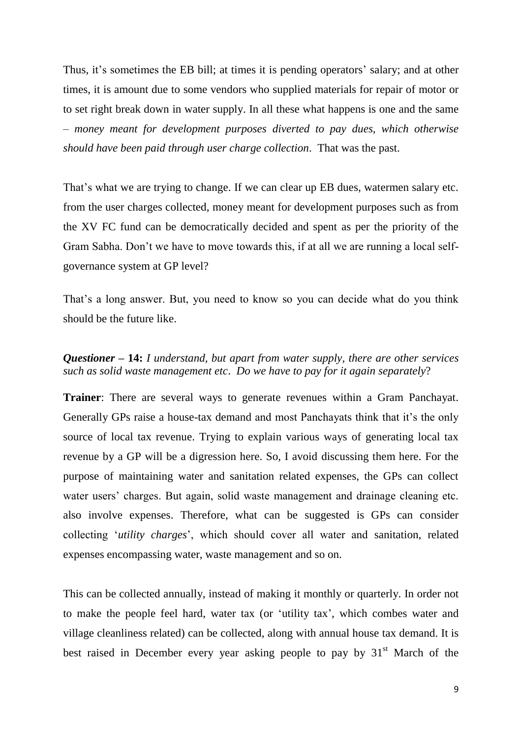Thus, it's sometimes the EB bill; at times it is pending operators' salary; and at other times, it is amount due to some vendors who supplied materials for repair of motor or to set right break down in water supply. In all these what happens is one and the same – *money meant for development purposes diverted to pay dues, which otherwise should have been paid through user charge collection*. That was the past.

That's what we are trying to change. If we can clear up EB dues, watermen salary etc. from the user charges collected, money meant for development purposes such as from the XV FC fund can be democratically decided and spent as per the priority of the Gram Sabha. Don't we have to move towards this, if at all we are running a local selfgovernance system at GP level?

That's a long answer. But, you need to know so you can decide what do you think should be the future like.

#### *Questioner* **– 14:** *I understand, but apart from water supply, there are other services such as solid waste management etc*. *Do we have to pay for it again separately*?

**Trainer**: There are several ways to generate revenues within a Gram Panchayat. Generally GPs raise a house-tax demand and most Panchayats think that it's the only source of local tax revenue. Trying to explain various ways of generating local tax revenue by a GP will be a digression here. So, I avoid discussing them here. For the purpose of maintaining water and sanitation related expenses, the GPs can collect water users' charges. But again, solid waste management and drainage cleaning etc. also involve expenses. Therefore, what can be suggested is GPs can consider collecting '*utility charges*', which should cover all water and sanitation, related expenses encompassing water, waste management and so on.

This can be collected annually, instead of making it monthly or quarterly. In order not to make the people feel hard, water tax (or 'utility tax', which combes water and village cleanliness related) can be collected, along with annual house tax demand. It is best raised in December every year asking people to pay by  $31<sup>st</sup>$  March of the